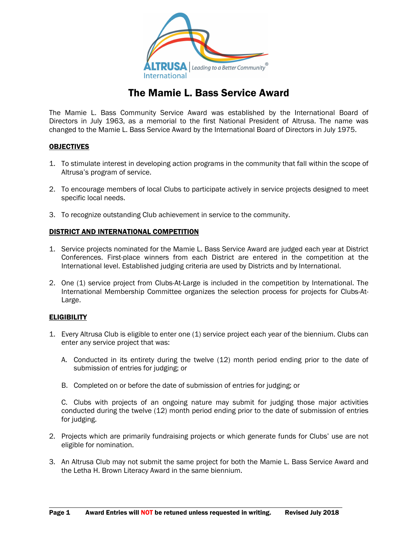

### The Mamie L. Bass Service Award

The Mamie L. Bass Community Service Award was established by the International Board of Directors in July 1963, as a memorial to the first National President of Altrusa. The name was changed to the Mamie L. Bass Service Award by the International Board of Directors in July 1975.

### **OBJECTIVES**

- 1. To stimulate interest in developing action programs in the community that fall within the scope of Altrusa's program of service.
- 2. To encourage members of local Clubs to participate actively in service projects designed to meet specific local needs.
- 3. To recognize outstanding Club achievement in service to the community.

### DISTRICT AND INTERNATIONAL COMPETITION

- 1. Service projects nominated for the Mamie L. Bass Service Award are judged each year at District Conferences. First-place winners from each District are entered in the competition at the International level. Established judging criteria are used by Districts and by International.
- 2. One (1) service project from Clubs-At-Large is included in the competition by International. The International Membership Committee organizes the selection process for projects for Clubs-At-Large.

### **ELIGIBILITY**

 $\overline{a}$ 

- 1. Every Altrusa Club is eligible to enter one (1) service project each year of the biennium. Clubs can enter any service project that was:
	- A. Conducted in its entirety during the twelve (12) month period ending prior to the date of submission of entries for judging; or
	- B. Completed on or before the date of submission of entries for judging; or

C. Clubs with projects of an ongoing nature may submit for judging those major activities conducted during the twelve (12) month period ending prior to the date of submission of entries for judging.

- 2. Projects which are primarily fundraising projects or which generate funds for Clubs' use are not eligible for nomination.
- 3. An Altrusa Club may not submit the same project for both the Mamie L. Bass Service Award and the Letha H. Brown Literacy Award in the same biennium.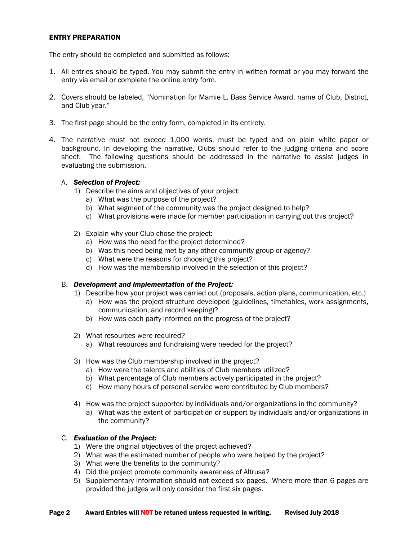### ENTRY PREPARATION

The entry should be completed and submitted as follows:

- 1. All entries should be typed. You may submit the entry in written format or you may forward the entry via email or complete the online entry form.
- 2. Covers should be labeled, "Nomination for Mamie L. Bass Service Award, name of Club, District, and Club year."
- 3. The first page should be the entry form, completed in its entirety.
- 4. The narrative must not exceed 1,000 words, must be typed and on plain white paper or background. In developing the narrative, Clubs should refer to the judging criteria and score sheet. The following questions should be addressed in the narrative to assist judges in evaluating the submission.

#### A. *Selection of Project:*

- 1) Describe the aims and objectives of your project:
	- a) What was the purpose of the project?
	- b) What segment of the community was the project designed to help?
	- c) What provisions were made for member participation in carrying out this project?
- 2) Explain why your Club chose the project:
	- a) How was the need for the project determined?
	- b) Was this need being met by any other community group or agency?
	- c) What were the reasons for choosing this project?
	- d) How was the membership involved in the selection of this project?

#### B. *Development and Implementation of the Project:*

- 1) Describe how your project was carried out (proposals, action plans, communication, etc.)
	- a) How was the project structure developed (guidelines, timetables, work assignments, communication, and record keeping)?
	- b) How was each party informed on the progress of the project?
- 2) What resources were required?
	- a) What resources and fundraising were needed for the project?
- 3) How was the Club membership involved in the project?
	- a) How were the talents and abilities of Club members utilized?
	- b) What percentage of Club members actively participated in the project?
	- c) How many hours of personal service were contributed by Club members?
- 4) How was the project supported by individuals and/or organizations in the community?
	- a) What was the extent of participation or support by individuals and/or organizations in the community?

### C*. Evaluation of the Project:*

- 1) Were the original objectives of the project achieved?
- 2) What was the estimated number of people who were helped by the project?
- 3) What were the benefits to the community?
- 4) Did the project promote community awareness of Altrusa?
- 5) Supplementary information should not exceed six pages. Where more than 6 pages are provided the judges will only consider the first six pages.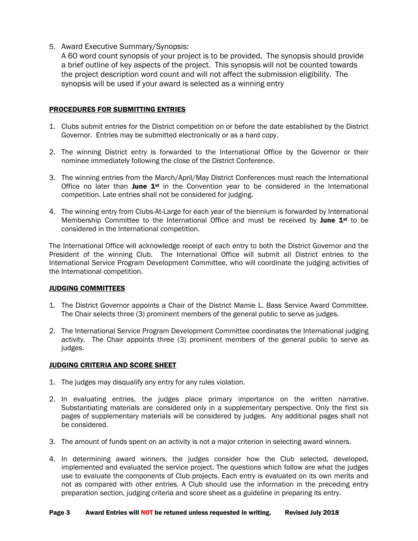5. Award Executive Summary/Synopsis:

A 60 word count synopsis of your project is to be provided. The synopsis should provide a brief outline of key aspects of the project. This synopsis will not be counted towards the project description word count and will not affect the submission eligibility. The synopsis will be used if your award is selected as a winning entry

### PROCEDURES FOR SUBMITTING ENTRIES

- 1. Clubs submit entries for the District competition on or before the date established by the District Governor. Entries may be submitted electronically or as a hard copy.
- 2. The winning District entry is forwarded to the International Office by the Governor or their nominee immediately following the close of the District Conference.
- 3. The winning entries from the March/April/May District Conferences must reach the International Office no later than June  $1^{st}$  in the Convention year to be considered in the International competition. Late entries shall not be considered for judging.
- 4. The winning entry from Clubs-At-Large for each year of the biennium is forwarded by International Membership Committee to the International Office and must be received by **June 1**<sup>st</sup> to be considered in the International competition.

The International Office will acknowledge receipt of each entry to both the District Governor and the President of the winning Club. The International Office will submit all District entries to the International Service Program Development Committee, who will coordinate the judging activities of the International competition.

### JUDGING COMMITTEES

- 1. The District Governor appoints a Chair of the District Mamie L. Bass Service Award Committee. The Chair selects three (3) prominent members of the general public to serve as judges.
- 2. The International Service Program Development Committee coordinates the International judging activity. The Chair appoints three (3) prominent members of the general public to serve as judges.

### JUDGING CRITERIA AND SCORE SHEET

- 1. The judges may disqualify any entry for any rules violation.
- 2. In evaluating entries, the judges place primary importance on the written narrative. Substantiating materials are considered only in a supplementary perspective. Only the first six pages of supplementary materials will be considered by judges. Any additional pages shall not be considered.
- 3. The amount of funds spent on an activity is not a major criterion in selecting award winners.
- 4. In determining award winners, the judges consider how the Club selected, developed, implemented and evaluated the service project. The questions which follow are what the judges use to evaluate the components of Club projects. Each entry is evaluated on its own merits and not as compared with other entries. A Club should use the information in the preceding entry preparation section, judging criteria and score sheet as a guideline in preparing its entry.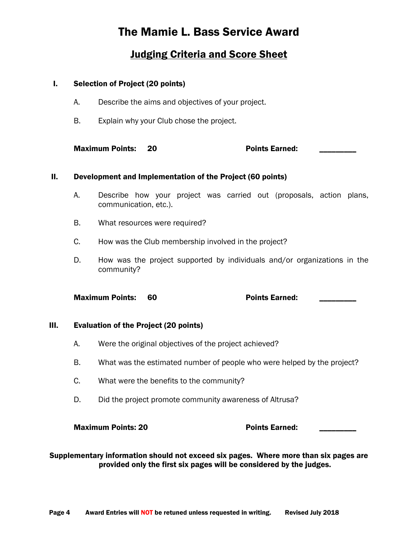## The Mamie L. Bass Service Award

### Judging Criteria and Score Sheet

### I. Selection of Project (20 points)

- A. Describe the aims and objectives of your project.
- B. Explain why your Club chose the project.

Maximum Points: 20 Points Earned:

### II. Development and Implementation of the Project (60 points)

- A. Describe how your project was carried out (proposals, action plans, communication, etc.).
- B. What resources were required?
- C. How was the Club membership involved in the project?
- D. How was the project supported by individuals and/or organizations in the community?

Maximum Points: 60 Points Earned:

### III. Evaluation of the Project (20 points)

- A. Were the original objectives of the project achieved?
- B. What was the estimated number of people who were helped by the project?
- C. What were the benefits to the community?
- D. Did the project promote community awareness of Altrusa?

### Maximum Points: 20 **Points Earned:** We are the Points Earned:

Supplementary information should not exceed six pages. Where more than six pages are provided only the first six pages will be considered by the judges.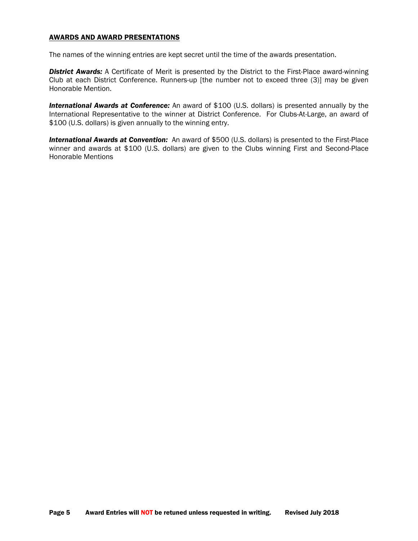### AWARDS AND AWARD PRESENTATIONS

The names of the winning entries are kept secret until the time of the awards presentation.

*District Awards:* A Certificate of Merit is presented by the District to the First-Place award-winning Club at each District Conference. Runners-up [the number not to exceed three (3)] may be given Honorable Mention.

**International Awards at Conference:** An award of \$100 (U.S. dollars) is presented annually by the International Representative to the winner at District Conference. For Clubs-At-Large, an award of \$100 (U.S. dollars) is given annually to the winning entry.

*International Awards at Convention:* An award of \$500 (U.S. dollars) is presented to the First-Place winner and awards at \$100 (U.S. dollars) are given to the Clubs winning First and Second-Place Honorable Mentions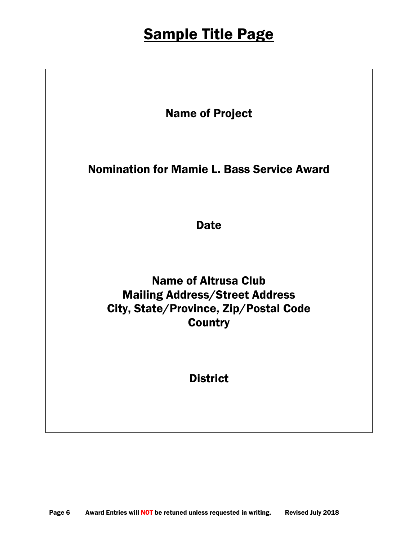# **Sample Title Page**

Name of Project

Nomination for Mamie L. Bass Service Award

Date

# Name of Altrusa Club Mailing Address/Street Address City, State/Province, Zip/Postal Code **Country**

**District**